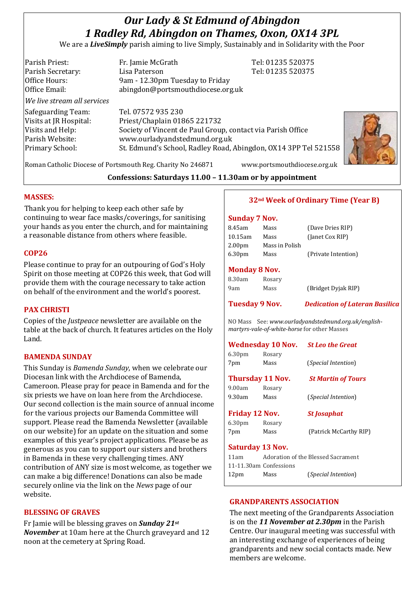# *Our Lady & St Edmund of Abingdon 1 Radley Rd, Abingdon on Thames, Oxon, OX14 3PL*

We are a *LiveSimply* parish aiming to live Simply, Sustainably and in Solidarity with the Poor

| Parish Priest:                                                                     | Fr. Jamie McGrath                                           | Tel: 01235 520375 |
|------------------------------------------------------------------------------------|-------------------------------------------------------------|-------------------|
| Parish Secretary:                                                                  | Lisa Paterson                                               | Tel: 01235 520375 |
| Office Hours:                                                                      | 9am - 12.30pm Tuesday to Friday                             |                   |
| Office Email:                                                                      | abingdon@portsmouthdiocese.org.uk                           |                   |
| We live stream all services                                                        |                                                             |                   |
| Safeguarding Team:                                                                 | Tel. 07572 935 230                                          |                   |
| Visits at JR Hospital:                                                             | Priest/Chaplain 01865 221732                                |                   |
| Visits and Help:                                                                   | Society of Vincent de Paul Group, contact via Parish Office |                   |
| Parish Website:                                                                    | www.ourladyandstedmund.org.uk                               |                   |
| St. Edmund's School, Radley Road, Abingdon, OX14 3PP Tel 521558<br>Primary School: |                                                             |                   |
|                                                                                    |                                                             |                   |



Roman Catholic Diocese of Portsmouth Reg. Charity No 246871 www.portsmouthdiocese.org.uk

**Confessions: Saturdays 11.00 – 11.30am or by appointment**

## **MASSES:**

Thank you for helping to keep each other safe by continuing to wear face masks/coverings, for sanitising your hands as you enter the church, and for maintaining a reasonable distance from others where feasible.

## **COP26**

Please continue to pray for an outpouring of God's Holy Spirit on those meeting at COP26 this week, that God will provide them with the courage necessary to take action on behalf of the environment and the world's poorest.

## **PAX CHRISTI**

Copies of the *Justpeace* newsletter are available on the table at the back of church. It features articles on the Holy Land.

## **BAMENDA SUNDAY**

This Sunday is *Bamenda Sunday*, when we celebrate our Diocesan link with the Archdiocese of Bamenda, Cameroon. Please pray for peace in Bamenda and for the six priests we have on loan here from the Archdiocese. Our second collection is the main source of annual income for the various projects our Bamenda Committee will support. Please read the Bamenda Newsletter (available on our website) for an update on the situation and some examples of this year's project applications. Please be as generous as you can to support our sisters and brothers in Bamenda in these very challenging times. ANY contribution of ANY size is most welcome, as together we can make a big difference! Donations can also be made securely online via the link on the *News* page of our website.

## **BLESSING OF GRAVES**

Fr Jamie will be blessing graves on *Sunday 21st November* at 10am here at the Church graveyard and 12 noon at the cemetery at Spring Road.

# **32nd Week of Ordinary Time (Year B)**

## **Sunday 7 Nov.**

| 8.45am             | Mass           | (Dave Dries RIP)    |
|--------------------|----------------|---------------------|
| $10.15$ am         | Mass           | (Janet Cox RIP)     |
| 2.00 <sub>pm</sub> | Mass in Polish |                     |
| 6.30 <sub>pm</sub> | Mass           | (Private Intention) |
|                    |                |                     |

# **Monday 8 Nov.**

| 8.30am | Rosary |                     |
|--------|--------|---------------------|
| 9am    | Mass   | (Bridget Dyjak RIP) |

**Tuesday 9 Nov.** *Dedication of Lateran Basilica*

NO Mass See: *www.ourladyandstedmund.org.uk/englishmartyrs-vale-of-white-horse* for other Masses

#### **Wednesday 10 Nov.** *St Leo the Great*

| ---                |        |                              |
|--------------------|--------|------------------------------|
| 7pm                | Mass   | ( <i>Special Intention</i> ) |
| 6.30 <sub>pm</sub> | Rosary |                              |

**Thursday 11 Nov.** *St Martin of Tours* 9.00am Rosary 9.30am Mass (*Special Intention*)

#### **Friday 12 Nov.** *St Josaphat*

7pm Mass (Patrick McCarthy RIP)

## **Saturday 13 Nov.**

6.30pm Rosary

| 11am                   |      | Adoration of the Blessed Sacrament |
|------------------------|------|------------------------------------|
| 11-11.30am Confessions |      |                                    |
| 12 <sub>pm</sub>       | Mass | ( <i>Special Intention</i> )       |

# **GRANDPARENTS ASSOCIATION**

The next meeting of the Grandparents Association is on the *11 November at 2.30pm* in the Parish Centre. Our inaugural meeting was successful with an interesting exchange of experiences of being grandparents and new social contacts made. New members are welcome.